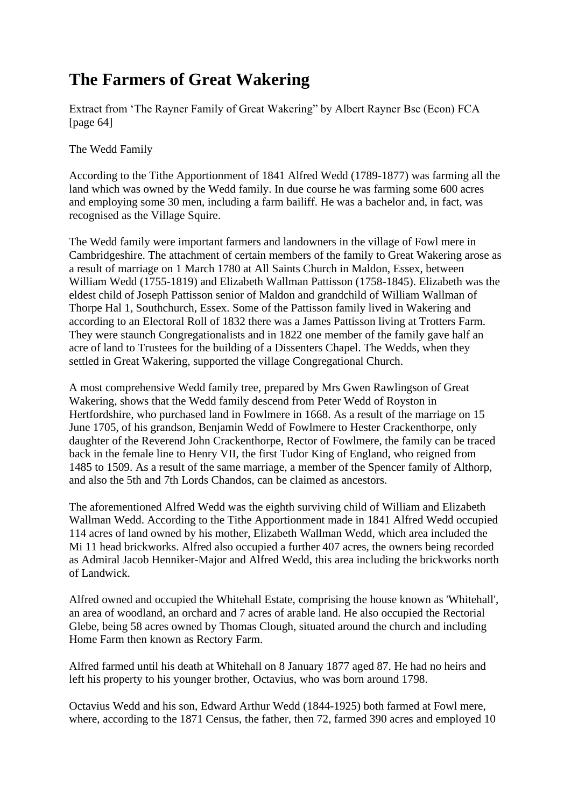## **The Farmers of Great Wakering**

Extract from 'The Rayner Family of Great Wakering" by Albert Rayner Bsc (Econ) FCA [page 64]

The Wedd Family

According to the Tithe Apportionment of 1841 Alfred Wedd (1789-1877) was farming all the land which was owned by the Wedd family. In due course he was farming some 600 acres and employing some 30 men, including a farm bailiff. He was a bachelor and, in fact, was recognised as the Village Squire.

The Wedd family were important farmers and landowners in the village of Fowl mere in Cambridgeshire. The attachment of certain members of the family to Great Wakering arose as a result of marriage on 1 March 1780 at All Saints Church in Maldon, Essex, between William Wedd (1755-1819) and Elizabeth Wallman Pattisson (1758-1845). Elizabeth was the eldest child of Joseph Pattisson senior of Maldon and grandchild of William Wallman of Thorpe Hal 1, Southchurch, Essex. Some of the Pattisson family lived in Wakering and according to an Electoral Roll of 1832 there was a James Pattisson living at Trotters Farm. They were staunch Congregationalists and in 1822 one member of the family gave half an acre of land to Trustees for the building of a Dissenters Chapel. The Wedds, when they settled in Great Wakering, supported the village Congregational Church.

A most comprehensive Wedd family tree, prepared by Mrs Gwen Rawlingson of Great Wakering, shows that the Wedd family descend from Peter Wedd of Royston in Hertfordshire, who purchased land in Fowlmere in 1668. As a result of the marriage on 15 June 1705, of his grandson, Benjamin Wedd of Fowlmere to Hester Crackenthorpe, only daughter of the Reverend John Crackenthorpe, Rector of Fowlmere, the family can be traced back in the female line to Henry VII, the first Tudor King of England, who reigned from 1485 to 1509. As a result of the same marriage, a member of the Spencer family of Althorp, and also the 5th and 7th Lords Chandos, can be claimed as ancestors.

The aforementioned Alfred Wedd was the eighth surviving child of William and Elizabeth Wallman Wedd. According to the Tithe Apportionment made in 1841 Alfred Wedd occupied 114 acres of land owned by his mother, Elizabeth Wallman Wedd, which area included the Mi 11 head brickworks. Alfred also occupied a further 407 acres, the owners being recorded as Admiral Jacob Henniker-Major and Alfred Wedd, this area including the brickworks north of Landwick.

Alfred owned and occupied the Whitehall Estate, comprising the house known as 'Whitehall', an area of woodland, an orchard and 7 acres of arable land. He also occupied the Rectorial Glebe, being 58 acres owned by Thomas Clough, situated around the church and including Home Farm then known as Rectory Farm.

Alfred farmed until his death at Whitehall on 8 January 1877 aged 87. He had no heirs and left his property to his younger brother, Octavius, who was born around 1798.

Octavius Wedd and his son, Edward Arthur Wedd (1844-1925) both farmed at Fowl mere, where, according to the 1871 Census, the father, then 72, farmed 390 acres and employed 10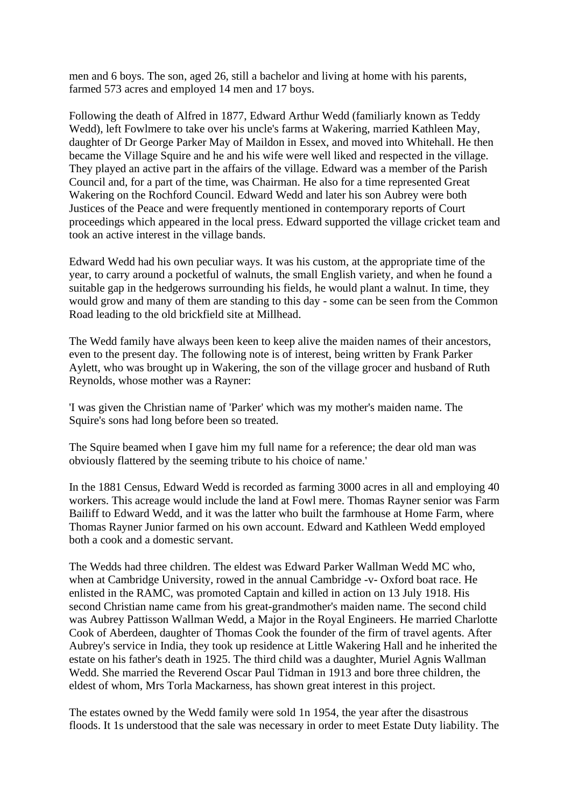men and 6 boys. The son, aged 26, still a bachelor and living at home with his parents, farmed 573 acres and employed 14 men and 17 boys.

Following the death of Alfred in 1877, Edward Arthur Wedd (familiarly known as Teddy Wedd), left Fowlmere to take over his uncle's farms at Wakering, married Kathleen May, daughter of Dr George Parker May of Maildon in Essex, and moved into Whitehall. He then became the Village Squire and he and his wife were well liked and respected in the village. They played an active part in the affairs of the village. Edward was a member of the Parish Council and, for a part of the time, was Chairman. He also for a time represented Great Wakering on the Rochford Council. Edward Wedd and later his son Aubrey were both Justices of the Peace and were frequently mentioned in contemporary reports of Court proceedings which appeared in the local press. Edward supported the village cricket team and took an active interest in the village bands.

Edward Wedd had his own peculiar ways. It was his custom, at the appropriate time of the year, to carry around a pocketful of walnuts, the small English variety, and when he found a suitable gap in the hedgerows surrounding his fields, he would plant a walnut. In time, they would grow and many of them are standing to this day - some can be seen from the Common Road leading to the old brickfield site at Millhead.

The Wedd family have always been keen to keep alive the maiden names of their ancestors, even to the present day. The following note is of interest, being written by Frank Parker Aylett, who was brought up in Wakering, the son of the village grocer and husband of Ruth Reynolds, whose mother was a Rayner:

'I was given the Christian name of 'Parker' which was my mother's maiden name. The Squire's sons had long before been so treated.

The Squire beamed when I gave him my full name for a reference; the dear old man was obviously flattered by the seeming tribute to his choice of name.'

In the 1881 Census, Edward Wedd is recorded as farming 3000 acres in all and employing 40 workers. This acreage would include the land at Fowl mere. Thomas Rayner senior was Farm Bailiff to Edward Wedd, and it was the latter who built the farmhouse at Home Farm, where Thomas Rayner Junior farmed on his own account. Edward and Kathleen Wedd employed both a cook and a domestic servant.

The Wedds had three children. The eldest was Edward Parker Wallman Wedd MC who, when at Cambridge University, rowed in the annual Cambridge -v- Oxford boat race. He enlisted in the RAMC, was promoted Captain and killed in action on 13 July 1918. His second Christian name came from his great-grandmother's maiden name. The second child was Aubrey Pattisson Wallman Wedd, a Major in the Royal Engineers. He married Charlotte Cook of Aberdeen, daughter of Thomas Cook the founder of the firm of travel agents. After Aubrey's service in India, they took up residence at Little Wakering Hall and he inherited the estate on his father's death in 1925. The third child was a daughter, Muriel Agnis Wallman Wedd. She married the Reverend Oscar Paul Tidman in 1913 and bore three children, the eldest of whom, Mrs Torla Mackarness, has shown great interest in this project.

The estates owned by the Wedd family were sold 1n 1954, the year after the disastrous floods. It 1s understood that the sale was necessary in order to meet Estate Duty liability. The